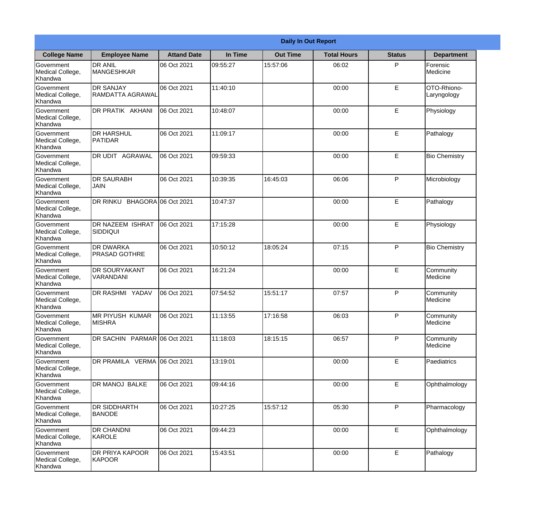|                                                  | <b>Daily In Out Report</b>               |                    |          |                 |                    |               |                            |  |  |
|--------------------------------------------------|------------------------------------------|--------------------|----------|-----------------|--------------------|---------------|----------------------------|--|--|
| <b>College Name</b>                              | <b>Employee Name</b>                     | <b>Attand Date</b> | In Time  | <b>Out Time</b> | <b>Total Hours</b> | <b>Status</b> | <b>Department</b>          |  |  |
| Government<br>Medical College,<br>Khandwa        | <b>DR ANIL</b><br><b>MANGESHKAR</b>      | 06 Oct 2021        | 09:55:27 | 15:57:06        | 06:02              | P             | Forensic<br>Medicine       |  |  |
| Government<br>Medical College,<br>Khandwa        | <b>DR SANJAY</b><br>RAMDATTA AGRAWAL     | 06 Oct 2021        | 11:40:10 |                 | 00:00              | E             | OTO-Rhiono-<br>Laryngology |  |  |
| <b>Government</b><br>Medical College,<br>Khandwa | <b>IDR PRATIK AKHANI</b>                 | 06 Oct 2021        | 10:48:07 |                 | 00:00              | E             | Physiology                 |  |  |
| Government<br>Medical College,<br>Khandwa        | <b>DR HARSHUL</b><br>PATIDAR             | 06 Oct 2021        | 11:09:17 |                 | 00:00              | $\mathsf E$   | Pathalogy                  |  |  |
| <b>Government</b><br>Medical College,<br>Khandwa | <b>IDR UDIT AGRAWAL</b>                  | 06 Oct 2021        | 09:59:33 |                 | 00:00              | E             | <b>Bio Chemistry</b>       |  |  |
| Government<br>Medical College,<br>Khandwa        | <b>DR SAURABH</b><br><b>JAIN</b>         | 06 Oct 2021        | 10:39:35 | 16:45:03        | 06:06              | P             | Microbiology               |  |  |
| Government<br>Medical College,<br>Khandwa        | DR RINKU BHAGORA 06 Oct 2021             |                    | 10:47:37 |                 | 00:00              | E             | Pathalogy                  |  |  |
| Government<br>Medical College,<br>Khandwa        | DR NAZEEM ISHRAT<br> SIDDIQUI            | 06 Oct 2021        | 17:15:28 |                 | 00:00              | E             | Physiology                 |  |  |
| Government<br>Medical College,<br>Khandwa        | <b>DR DWARKA</b><br><b>PRASAD GOTHRE</b> | 06 Oct 2021        | 10:50:12 | 18:05:24        | 07:15              | P             | <b>Bio Chemistry</b>       |  |  |
| Government<br>Medical College,<br>Khandwa        | <b>DR SOURYAKANT</b><br>VARANDANI        | 06 Oct 2021        | 16:21:24 |                 | 00:00              | E             | Community<br>Medicine      |  |  |
| Government<br>Medical College,<br>Khandwa        | <b>DR RASHMI YADAV</b>                   | 06 Oct 2021        | 07:54:52 | 15:51:17        | 07:57              | P             | Community<br>Medicine      |  |  |
| Government<br>Medical College,<br>Khandwa        | <b>MR PIYUSH KUMAR</b><br><b>MISHRA</b>  | 06 Oct 2021        | 11:13:55 | 17:16:58        | 06:03              | P             | Community<br>Medicine      |  |  |
| Government<br>Medical College,<br>Khandwa        | DR SACHIN PARMAR 06 Oct 2021             |                    | 11:18:03 | 18:15:15        | 06:57              | P             | Community<br>Medicine      |  |  |
| Government<br>Medical College,<br>Khandwa        | DR PRAMILA VERMA 06 Oct 2021             |                    | 13:19:01 |                 | 00:00              | $\mathsf E$   | Paediatrics                |  |  |
| <b>Government</b><br>Medical College,<br>Khandwa | <b>DR MANOJ BALKE</b>                    | 06 Oct 2021        | 09:44:16 |                 | 00:00              | E             | Ophthalmology              |  |  |
| Government<br>Medical College,<br>Khandwa        | <b>DR SIDDHARTH</b><br><b>BANODE</b>     | 06 Oct 2021        | 10:27:25 | 15:57:12        | 05:30              | P             | Pharmacology               |  |  |
| Government<br>Medical College,<br>Khandwa        | <b>DR CHANDNI</b><br>KAROLE              | 06 Oct 2021        | 09:44:23 |                 | 00:00              | E             | Ophthalmology              |  |  |
| Government<br>Medical College,<br>Khandwa        | DR PRIYA KAPOOR<br>KAPOOR                | 06 Oct 2021        | 15:43:51 |                 | 00:00              | $\mathsf E$   | Pathalogy                  |  |  |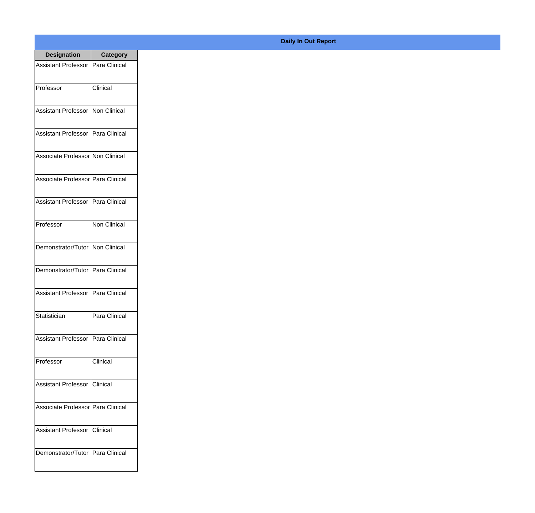| <b>Designation</b>                  | <b>Category</b>     |
|-------------------------------------|---------------------|
| Assistant Professor   Para Clinical |                     |
| Professor                           | Clinical            |
| Assistant Professor   Non Clinical  |                     |
| Assistant Professor   Para Clinical |                     |
| Associate Professor Non Clinical    |                     |
| Associate Professor   Para Clinical |                     |
| Assistant Professor   Para Clinical |                     |
| Professor                           | <b>Non Clinical</b> |
| Demonstrator/Tutor   Non Clinical   |                     |
| Demonstrator/Tutor   Para Clinical  |                     |
| <b>Assistant Professor</b>          | Para Clinical       |
| Statistician                        | Para Clinical       |
| Assistant Professor   Para Clinical |                     |
| Professor                           | Clinical            |
| Assistant Professor   Clinical      |                     |
| Associate Professor   Para Clinical |                     |
| <b>Assistant Professor</b>          | <b>Clinical</b>     |
| Demonstrator/Tutor   Para Clinical  |                     |

## **Daily In Out Report**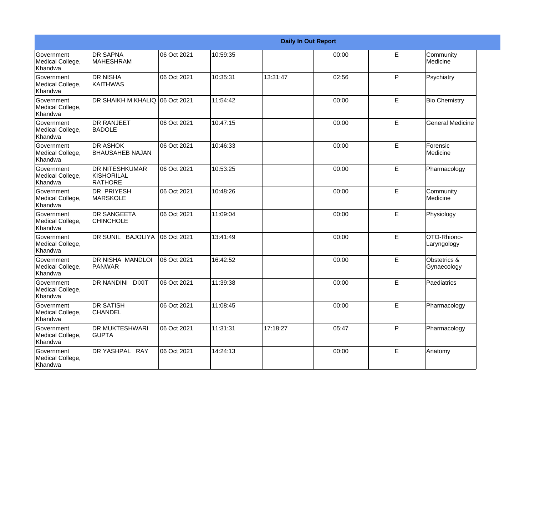|                                                  |                                                 |             |          |          | <b>Daily In Out Report</b> |    |                             |
|--------------------------------------------------|-------------------------------------------------|-------------|----------|----------|----------------------------|----|-----------------------------|
| Government<br>Medical College,<br>Khandwa        | <b>DR SAPNA</b><br><b>MAHESHRAM</b>             | 06 Oct 2021 | 10:59:35 |          | 00:00                      | E  | Community<br>Medicine       |
| Government<br>Medical College,<br>Khandwa        | <b>DR NISHA</b><br><b>KAITHWAS</b>              | 06 Oct 2021 | 10:35:31 | 13:31:47 | 02:56                      | P  | Psychiatry                  |
| <b>Government</b><br>Medical College,<br>Khandwa | DR SHAIKH M.KHALIQ 106 Oct 2021                 |             | 11:54:42 |          | 00:00                      | E  | <b>Bio Chemistry</b>        |
| Government<br>Medical College,<br>Khandwa        | <b>DR RANJEET</b><br><b>BADOLE</b>              | 06 Oct 2021 | 10:47:15 |          | 00:00                      | E  | <b>General Medicine</b>     |
| Government<br>Medical College,<br>Khandwa        | <b>DR ASHOK</b><br><b>BHAUSAHEB NAJAN</b>       | 06 Oct 2021 | 10:46:33 |          | 00:00                      | E  | Forensic<br>Medicine        |
| Government<br>Medical College,<br><b>Khandwa</b> | <b>DR NITESHKUMAR</b><br>KISHORILAL<br>IRATHORE | 06 Oct 2021 | 10:53:25 |          | 00:00                      | E  | Pharmacology                |
| <b>Government</b><br>Medical College,<br>Khandwa | DR PRIYESH<br><b>MARSKOLE</b>                   | 06 Oct 2021 | 10:48:26 |          | 00:00                      | E  | Community<br>Medicine       |
| Government<br>Medical College,<br>Khandwa        | <b>DR SANGEETA</b><br><b>CHINCHOLE</b>          | 06 Oct 2021 | 11:09:04 |          | 00:00                      | E  | Physiology                  |
| Government<br>Medical College,<br>Khandwa        | DR SUNIL BAJOLIYA                               | 06 Oct 2021 | 13:41:49 |          | 00:00                      | E  | OTO-Rhiono-<br>Laryngology  |
| Government<br>Medical College,<br>Khandwa        | <b>DR NISHA MANDLOI</b><br><b>PANWAR</b>        | 06 Oct 2021 | 16:42:52 |          | 00:00                      | E  | Obstetrics &<br>Gynaecology |
| Government<br>Medical College,<br>Khandwa        | <b>DR NANDINI DIXIT</b>                         | 06 Oct 2021 | 11:39:38 |          | 00:00                      | E  | Paediatrics                 |
| Government<br>Medical College,<br>Khandwa        | <b>DR SATISH</b><br><b>CHANDEL</b>              | 06 Oct 2021 | 11:08:45 |          | 00:00                      | E  | Pharmacology                |
| Government<br>Medical College,<br>Khandwa        | <b>DR MUKTESHWARI</b><br><b>GUPTA</b>           | 06 Oct 2021 | 11:31:31 | 17:18:27 | 05:47                      | P  | Pharmacology                |
| Government<br>Medical College,<br>Khandwa        | DR YASHPAL RAY                                  | 06 Oct 2021 | 14:24:13 |          | 00:00                      | E. | Anatomy                     |